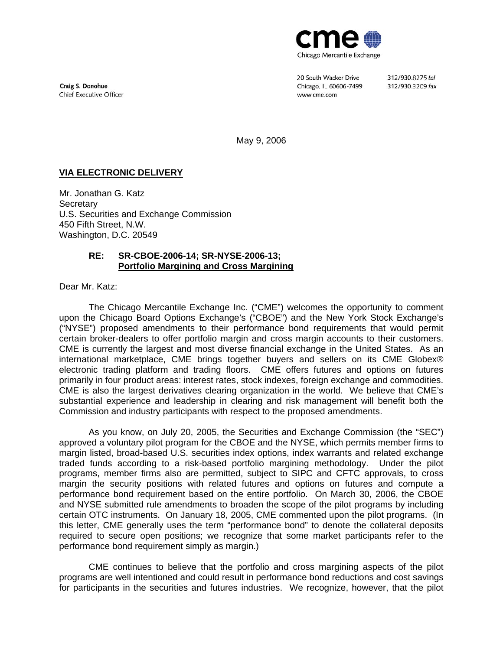

Craig S. Donohue Chief Executive Officer 20 South Wacker Drive Chicago, IL 60606-7499 www.cme.com

312/930.8275 tel 312/930.3209 fax

May 9, 2006

## **VIA ELECTRONIC DELIVERY**

Mr. Jonathan G. Katz **Secretary** U.S. Securities and Exchange Commission 450 Fifth Street, N.W. Washington, D.C. 20549

#### **RE: SR-CBOE-2006-14; SR-NYSE-2006-13; Portfolio Margining and Cross Margining**

Dear Mr. Katz:

The Chicago Mercantile Exchange Inc. ("CME") welcomes the opportunity to comment upon the Chicago Board Options Exchange's ("CBOE") and the New York Stock Exchange's ("NYSE") proposed amendments to their performance bond requirements that would permit certain broker-dealers to offer portfolio margin and cross margin accounts to their customers. CME is currently the largest and most diverse financial exchange in the United States. As an international marketplace, CME brings together buyers and sellers on its CME Globex® electronic trading platform and trading floors. CME offers futures and options on futures primarily in four product areas: interest rates, stock indexes, foreign exchange and commodities. CME is also the largest derivatives clearing organization in the world. We believe that CME's substantial experience and leadership in clearing and risk management will benefit both the Commission and industry participants with respect to the proposed amendments.

As you know, on July 20, 2005, the Securities and Exchange Commission (the "SEC") approved a voluntary pilot program for the CBOE and the NYSE, which permits member firms to margin listed, broad-based U.S. securities index options, index warrants and related exchange traded funds according to a risk-based portfolio margining methodology. Under the pilot programs, member firms also are permitted, subject to SIPC and CFTC approvals, to cross margin the security positions with related futures and options on futures and compute a performance bond requirement based on the entire portfolio. On March 30, 2006, the CBOE and NYSE submitted rule amendments to broaden the scope of the pilot programs by including certain OTC instruments. On January 18, 2005, CME commented upon the pilot programs. (In this letter, CME generally uses the term "performance bond" to denote the collateral deposits required to secure open positions; we recognize that some market participants refer to the performance bond requirement simply as margin.)

CME continues to believe that the portfolio and cross margining aspects of the pilot programs are well intentioned and could result in performance bond reductions and cost savings for participants in the securities and futures industries. We recognize, however, that the pilot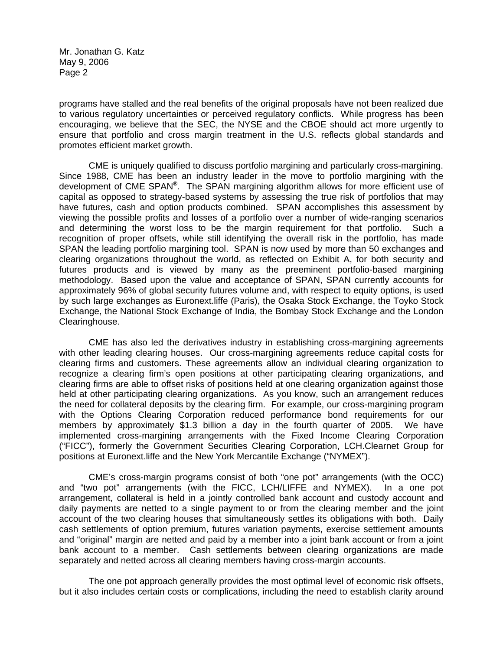programs have stalled and the real benefits of the original proposals have not been realized due to various regulatory uncertainties or perceived regulatory conflicts. While progress has been encouraging, we believe that the SEC, the NYSE and the CBOE should act more urgently to ensure that portfolio and cross margin treatment in the U.S. reflects global standards and promotes efficient market growth.

CME is uniquely qualified to discuss portfolio margining and particularly cross-margining. Since 1988, CME has been an industry leader in the move to portfolio margining with the development of CME SPAN**®**. The SPAN margining algorithm allows for more efficient use of capital as opposed to strategy-based systems by assessing the true risk of portfolios that may have futures, cash and option products combined. SPAN accomplishes this assessment by viewing the possible profits and losses of a portfolio over a number of wide-ranging scenarios and determining the worst loss to be the margin requirement for that portfolio. Such a recognition of proper offsets, while still identifying the overall risk in the portfolio, has made SPAN the leading portfolio margining tool. SPAN is now used by more than 50 exchanges and clearing organizations throughout the world, as reflected on Exhibit A, for both security and futures products and is viewed by many as the preeminent portfolio-based margining methodology. Based upon the value and acceptance of SPAN, SPAN currently accounts for approximately 96% of global security futures volume and, with respect to equity options, is used by such large exchanges as Euronext.liffe (Paris), the Osaka Stock Exchange, the Toyko Stock Exchange, the National Stock Exchange of India, the Bombay Stock Exchange and the London Clearinghouse.

CME has also led the derivatives industry in establishing cross-margining agreements with other leading clearing houses. Our cross-margining agreements reduce capital costs for clearing firms and customers. These agreements allow an individual clearing organization to recognize a clearing firm's open positions at other participating clearing organizations, and clearing firms are able to offset risks of positions held at one clearing organization against those held at other participating clearing organizations. As you know, such an arrangement reduces the need for collateral deposits by the clearing firm. For example, our cross-margining program with the Options Clearing Corporation reduced performance bond requirements for our members by approximately \$1.3 billion a day in the fourth quarter of 2005. We have implemented cross-margining arrangements with the Fixed Income Clearing Corporation ("FICC"), formerly the Government Securities Clearing Corporation, LCH.Clearnet Group for positions at Euronext.liffe and the New York Mercantile Exchange ("NYMEX").

CME's cross-margin programs consist of both "one pot" arrangements (with the OCC) and "two pot" arrangements (with the FICC, LCH/LIFFE and NYMEX). In a one pot arrangement, collateral is held in a jointly controlled bank account and custody account and daily payments are netted to a single payment to or from the clearing member and the joint account of the two clearing houses that simultaneously settles its obligations with both. Daily cash settlements of option premium, futures variation payments, exercise settlement amounts and "original" margin are netted and paid by a member into a joint bank account or from a joint bank account to a member. Cash settlements between clearing organizations are made separately and netted across all clearing members having cross-margin accounts.

The one pot approach generally provides the most optimal level of economic risk offsets, but it also includes certain costs or complications, including the need to establish clarity around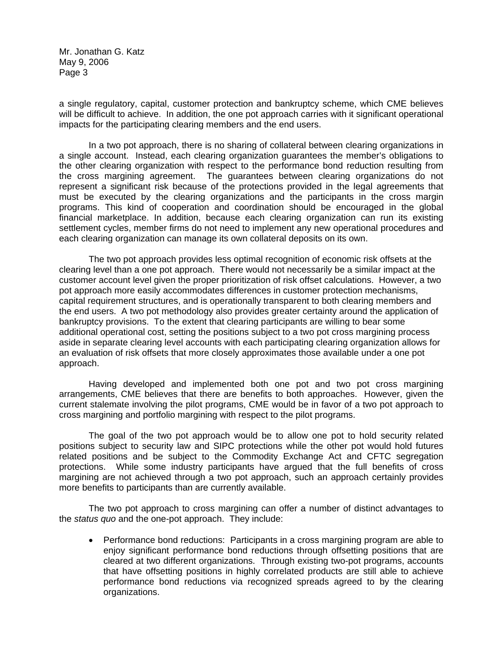a single regulatory, capital, customer protection and bankruptcy scheme, which CME believes will be difficult to achieve. In addition, the one pot approach carries with it significant operational impacts for the participating clearing members and the end users.

In a two pot approach, there is no sharing of collateral between clearing organizations in a single account. Instead, each clearing organization guarantees the member's obligations to the other clearing organization with respect to the performance bond reduction resulting from the cross margining agreement. The guarantees between clearing organizations do not represent a significant risk because of the protections provided in the legal agreements that must be executed by the clearing organizations and the participants in the cross margin programs. This kind of cooperation and coordination should be encouraged in the global financial marketplace. In addition, because each clearing organization can run its existing settlement cycles, member firms do not need to implement any new operational procedures and each clearing organization can manage its own collateral deposits on its own.

The two pot approach provides less optimal recognition of economic risk offsets at the clearing level than a one pot approach. There would not necessarily be a similar impact at the customer account level given the proper prioritization of risk offset calculations. However, a two pot approach more easily accommodates differences in customer protection mechanisms, capital requirement structures, and is operationally transparent to both clearing members and the end users. A two pot methodology also provides greater certainty around the application of bankruptcy provisions. To the extent that clearing participants are willing to bear some additional operational cost, setting the positions subject to a two pot cross margining process aside in separate clearing level accounts with each participating clearing organization allows for an evaluation of risk offsets that more closely approximates those available under a one pot approach.

Having developed and implemented both one pot and two pot cross margining arrangements, CME believes that there are benefits to both approaches. However, given the current stalemate involving the pilot programs, CME would be in favor of a two pot approach to cross margining and portfolio margining with respect to the pilot programs.

The goal of the two pot approach would be to allow one pot to hold security related positions subject to security law and SIPC protections while the other pot would hold futures related positions and be subject to the Commodity Exchange Act and CFTC segregation protections. While some industry participants have argued that the full benefits of cross margining are not achieved through a two pot approach, such an approach certainly provides more benefits to participants than are currently available.

The two pot approach to cross margining can offer a number of distinct advantages to the *status quo* and the one-pot approach. They include:

• Performance bond reductions: Participants in a cross margining program are able to enjoy significant performance bond reductions through offsetting positions that are cleared at two different organizations. Through existing two-pot programs, accounts that have offsetting positions in highly correlated products are still able to achieve performance bond reductions via recognized spreads agreed to by the clearing organizations.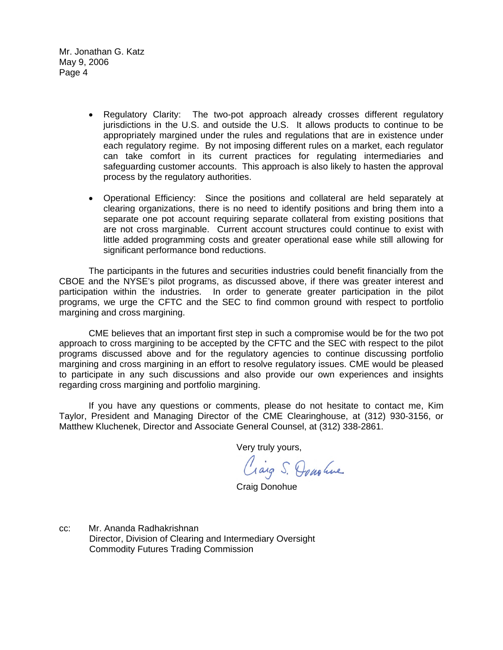- Regulatory Clarity: The two-pot approach already crosses different regulatory jurisdictions in the U.S. and outside the U.S. It allows products to continue to be appropriately margined under the rules and regulations that are in existence under each regulatory regime. By not imposing different rules on a market, each regulator can take comfort in its current practices for regulating intermediaries and safeguarding customer accounts. This approach is also likely to hasten the approval process by the regulatory authorities.
- Operational Efficiency: Since the positions and collateral are held separately at clearing organizations, there is no need to identify positions and bring them into a separate one pot account requiring separate collateral from existing positions that are not cross marginable. Current account structures could continue to exist with little added programming costs and greater operational ease while still allowing for significant performance bond reductions.

The participants in the futures and securities industries could benefit financially from the CBOE and the NYSE's pilot programs, as discussed above, if there was greater interest and participation within the industries. In order to generate greater participation in the pilot programs, we urge the CFTC and the SEC to find common ground with respect to portfolio margining and cross margining.

CME believes that an important first step in such a compromise would be for the two pot approach to cross margining to be accepted by the CFTC and the SEC with respect to the pilot programs discussed above and for the regulatory agencies to continue discussing portfolio margining and cross margining in an effort to resolve regulatory issues. CME would be pleased to participate in any such discussions and also provide our own experiences and insights regarding cross margining and portfolio margining.

If you have any questions or comments, please do not hesitate to contact me, Kim Taylor, President and Managing Director of the CME Clearinghouse, at (312) 930-3156, or Matthew Kluchenek, Director and Associate General Counsel, at (312) 338-2861.

Very truly yours,

Craig S. Dous live

Craig Donohue

cc: Mr. Ananda Radhakrishnan Director, Division of Clearing and Intermediary Oversight Commodity Futures Trading Commission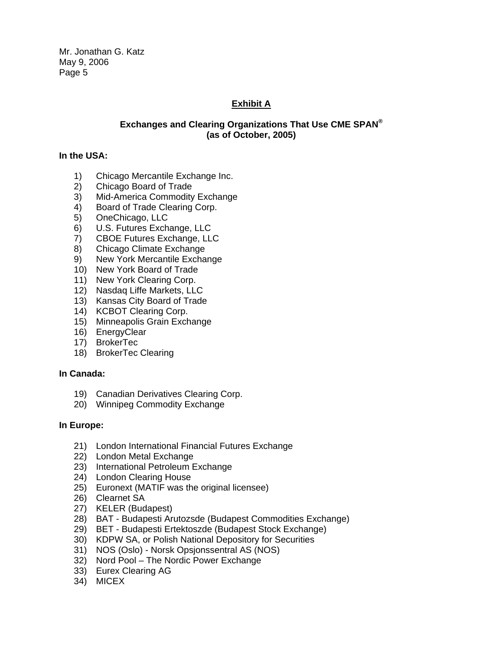# **Exhibit A**

# **Exchanges and Clearing Organizations That Use CME SPAN® (as of October, 2005)**

#### **In the USA:**

- 1) Chicago Mercantile Exchange Inc.
- 2) Chicago Board of Trade
- 3) Mid-America Commodity Exchange
- 4) Board of Trade Clearing Corp.
- 5) OneChicago, LLC
- 6) U.S. Futures Exchange, LLC
- 7) CBOE Futures Exchange, LLC
- 8) Chicago Climate Exchange
- 9) New York Mercantile Exchange
- 10) New York Board of Trade
- 11) New York Clearing Corp.
- 12) Nasdaq Liffe Markets, LLC
- 13) Kansas City Board of Trade
- 14) KCBOT Clearing Corp.
- 15) Minneapolis Grain Exchange
- 16) EnergyClear
- 17) BrokerTec
- 18) BrokerTec Clearing

## **In Canada:**

- 19) Canadian Derivatives Clearing Corp.
- 20) Winnipeg Commodity Exchange

## **In Europe:**

- 21) London International Financial Futures Exchange
- 22) London Metal Exchange
- 23) International Petroleum Exchange
- 24) London Clearing House
- 25) Euronext (MATIF was the original licensee)
- 26) Clearnet SA
- 27) KELER (Budapest)
- 28) BAT Budapesti Arutozsde (Budapest Commodities Exchange)
- 29) BET Budapesti Ertektoszde (Budapest Stock Exchange)
- 30) KDPW SA, or Polish National Depository for Securities
- 31) NOS (Oslo) Norsk Opsjonssentral AS (NOS)
- 32) Nord Pool The Nordic Power Exchange
- 33) Eurex Clearing AG
- 34) MICEX